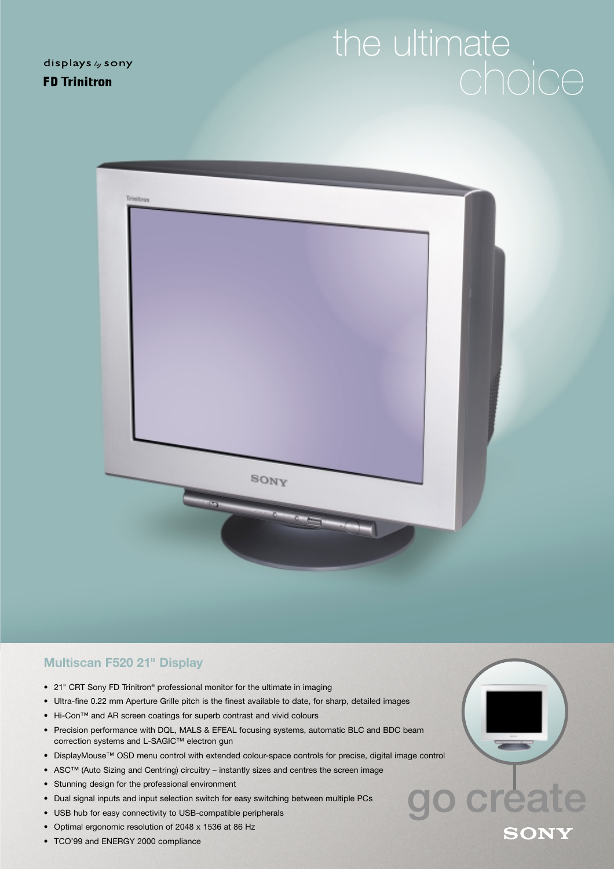displays by sony **FD Trinitron** 

## the ultimate



## **Multiscan F520 21" Display**

- 21" CRT Sony FD Trinitron® professional monitor for the ultimate in imaging
- Ultra-fine 0.22 mm Aperture Grille pitch is the finest available to date, for sharp, detailed images
- Hi-Con™ and AR screen coatings for superb contrast and vivid colours
- Precision performance with DQL, MALS & EFEAL focusing systems, automatic BLC and BDC beam correction systems and L-SAGIC™ electron gun
- DisplayMouse™ OSD menu control with extended colour-space controls for precise, digital image control
- ASC™ (Auto Sizing and Centring) circuitry instantly sizes and centres the screen image
- Stunning design for the professional environment
- Dual signal inputs and input selection switch for easy switching between multiple PCs
- USB hub for easy connectivity to USB-compatible peripherals
- Optimal ergonomic resolution of 2048 x 1536 at 86 Hz
- TCO'99 and ENERGY 2000 compliance